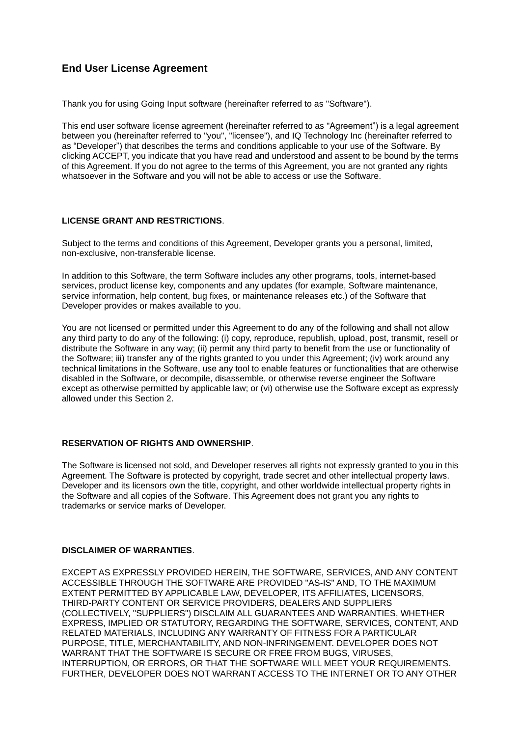# **End User License Agreement**

Thank you for using Going Input software (hereinafter referred to as "Software").

This end user software license agreement (hereinafter referred to as "Agreement") is a legal agreement between you (hereinafter referred to "you", "licensee"), and IQ Technology Inc (hereinafter referred to as "Developer") that describes the terms and conditions applicable to your use of the Software. By clicking ACCEPT, you indicate that you have read and understood and assent to be bound by the terms of this Agreement. If you do not agree to the terms of this Agreement, you are not granted any rights whatsoever in the Software and you will not be able to access or use the Software.

#### **LICENSE GRANT AND RESTRICTIONS**.

Subject to the terms and conditions of this Agreement, Developer grants you a personal, limited, non-exclusive, non-transferable license.

In addition to this Software, the term Software includes any other programs, tools, internet-based services, product license key, components and any updates (for example, Software maintenance, service information, help content, bug fixes, or maintenance releases etc.) of the Software that Developer provides or makes available to you.

You are not licensed or permitted under this Agreement to do any of the following and shall not allow any third party to do any of the following: (i) copy, reproduce, republish, upload, post, transmit, resell or distribute the Software in any way; (ii) permit any third party to benefit from the use or functionality of the Software; iii) transfer any of the rights granted to you under this Agreement; (iv) work around any technical limitations in the Software, use any tool to enable features or functionalities that are otherwise disabled in the Software, or decompile, disassemble, or otherwise reverse engineer the Software except as otherwise permitted by applicable law; or (vi) otherwise use the Software except as expressly allowed under this Section 2.

## **RESERVATION OF RIGHTS AND OWNERSHIP**.

The Software is licensed not sold, and Developer reserves all rights not expressly granted to you in this Agreement. The Software is protected by copyright, trade secret and other intellectual property laws. Developer and its licensors own the title, copyright, and other worldwide intellectual property rights in the Software and all copies of the Software. This Agreement does not grant you any rights to trademarks or service marks of Developer.

### **DISCLAIMER OF WARRANTIES**.

EXCEPT AS EXPRESSLY PROVIDED HEREIN, THE SOFTWARE, SERVICES, AND ANY CONTENT ACCESSIBLE THROUGH THE SOFTWARE ARE PROVIDED "AS-IS" AND, TO THE MAXIMUM EXTENT PERMITTED BY APPLICABLE LAW, DEVELOPER, ITS AFFILIATES, LICENSORS, THIRD-PARTY CONTENT OR SERVICE PROVIDERS, DEALERS AND SUPPLIERS (COLLECTIVELY, "SUPPLIERS") DISCLAIM ALL GUARANTEES AND WARRANTIES, WHETHER EXPRESS, IMPLIED OR STATUTORY, REGARDING THE SOFTWARE, SERVICES, CONTENT, AND RELATED MATERIALS, INCLUDING ANY WARRANTY OF FITNESS FOR A PARTICULAR PURPOSE, TITLE, MERCHANTABILITY, AND NON-INFRINGEMENT. DEVELOPER DOES NOT WARRANT THAT THE SOFTWARE IS SECURE OR FREE FROM BUGS, VIRUSES, INTERRUPTION, OR ERRORS, OR THAT THE SOFTWARE WILL MEET YOUR REQUIREMENTS. FURTHER, DEVELOPER DOES NOT WARRANT ACCESS TO THE INTERNET OR TO ANY OTHER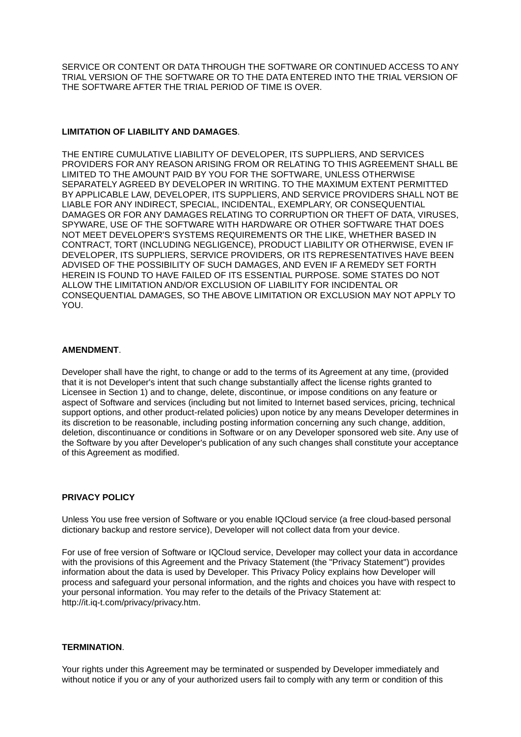SERVICE OR CONTENT OR DATA THROUGH THE SOFTWARE OR CONTINUED ACCESS TO ANY TRIAL VERSION OF THE SOFTWARE OR TO THE DATA ENTERED INTO THE TRIAL VERSION OF THE SOFTWARE AFTER THE TRIAL PERIOD OF TIME IS OVER.

### **LIMITATION OF LIABILITY AND DAMAGES**.

THE ENTIRE CUMULATIVE LIABILITY OF DEVELOPER, ITS SUPPLIERS, AND SERVICES PROVIDERS FOR ANY REASON ARISING FROM OR RELATING TO THIS AGREEMENT SHALL BE LIMITED TO THE AMOUNT PAID BY YOU FOR THE SOFTWARE, UNLESS OTHERWISE SEPARATELY AGREED BY DEVELOPER IN WRITING. TO THE MAXIMUM EXTENT PERMITTED BY APPLICABLE LAW, DEVELOPER, ITS SUPPLIERS, AND SERVICE PROVIDERS SHALL NOT BE LIABLE FOR ANY INDIRECT, SPECIAL, INCIDENTAL, EXEMPLARY, OR CONSEQUENTIAL DAMAGES OR FOR ANY DAMAGES RELATING TO CORRUPTION OR THEFT OF DATA, VIRUSES, SPYWARE, USE OF THE SOFTWARE WITH HARDWARE OR OTHER SOFTWARE THAT DOES NOT MEET DEVELOPER'S SYSTEMS REQUIREMENTS OR THE LIKE, WHETHER BASED IN CONTRACT, TORT (INCLUDING NEGLIGENCE), PRODUCT LIABILITY OR OTHERWISE, EVEN IF DEVELOPER, ITS SUPPLIERS, SERVICE PROVIDERS, OR ITS REPRESENTATIVES HAVE BEEN ADVISED OF THE POSSIBILITY OF SUCH DAMAGES, AND EVEN IF A REMEDY SET FORTH HEREIN IS FOUND TO HAVE FAILED OF ITS ESSENTIAL PURPOSE. SOME STATES DO NOT ALLOW THE LIMITATION AND/OR EXCLUSION OF LIABILITY FOR INCIDENTAL OR CONSEQUENTIAL DAMAGES, SO THE ABOVE LIMITATION OR EXCLUSION MAY NOT APPLY TO YOU.

#### **AMENDMENT**.

Developer shall have the right, to change or add to the terms of its Agreement at any time, (provided that it is not Developer's intent that such change substantially affect the license rights granted to Licensee in Section 1) and to change, delete, discontinue, or impose conditions on any feature or aspect of Software and services (including but not limited to Internet based services, pricing, technical support options, and other product-related policies) upon notice by any means Developer determines in its discretion to be reasonable, including posting information concerning any such change, addition, deletion, discontinuance or conditions in Software or on any Developer sponsored web site. Any use of the Software by you after Developer's publication of any such changes shall constitute your acceptance of this Agreement as modified.

### **PRIVACY POLICY**

Unless You use free version of Software or you enable IQCloud service (a free cloud-based personal dictionary backup and restore service), Developer will not collect data from your device.

For use of free version of Software or IQCloud service, Developer may collect your data in accordance with the provisions of this Agreement and the Privacy Statement (the "Privacy Statement") provides information about the data is used by Developer. This Privacy Policy explains how Developer will process and safeguard your personal information, and the rights and choices you have with respect to your personal information. You may refer to the details of the Privacy Statement at: http://it.iq-t.com/privacy/privacy.htm.

#### **TERMINATION**.

Your rights under this Agreement may be terminated or suspended by Developer immediately and without notice if you or any of your authorized users fail to comply with any term or condition of this